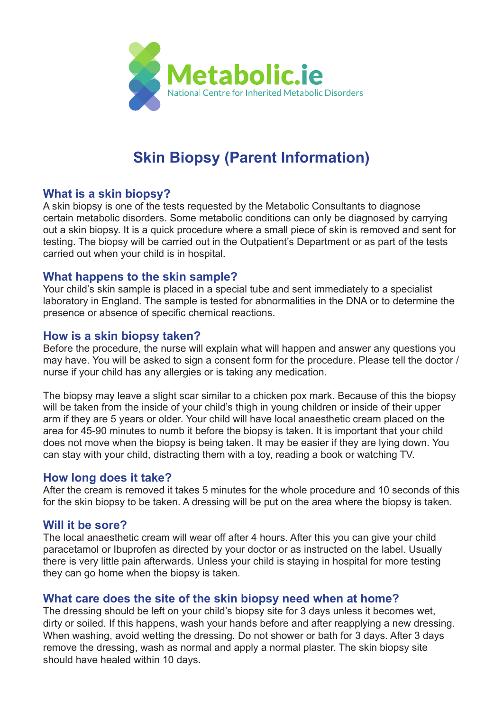

# **Skin Biopsy (Parent Information)**

## **What is a skin biopsy?**

A skin biopsy is one of the tests requested by the Metabolic Consultants to diagnose certain metabolic disorders. Some metabolic conditions can only be diagnosed by carrying out a skin biopsy. It is a quick procedure where a small piece of skin is removed and sent for testing. The biopsy will be carried out in the Outpatient's Department or as part of the tests carried out when your child is in hospital.

## **What happens to the skin sample?**

Your child's skin sample is placed in a special tube and sent immediately to a specialist laboratory in England. The sample is tested for abnormalities in the DNA or to determine the presence or absence of specific chemical reactions.

## **How is a skin biopsy taken?**

Before the procedure, the nurse will explain what will happen and answer any questions you may have. You will be asked to sign a consent form for the procedure. Please tell the doctor / nurse if your child has any allergies or is taking any medication.

The biopsy may leave a slight scar similar to a chicken pox mark. Because of this the biopsy will be taken from the inside of your child's thigh in young children or inside of their upper arm if they are 5 years or older. Your child will have local anaesthetic cream placed on the area for 45-90 minutes to numb it before the biopsy is taken. It is important that your child does not move when the biopsy is being taken. It may be easier if they are lying down. You can stay with your child, distracting them with a toy, reading a book or watching TV.

#### **How long does it take?**

After the cream is removed it takes 5 minutes for the whole procedure and 10 seconds of this for the skin biopsy to be taken. A dressing will be put on the area where the biopsy is taken.

## **Will it be sore?**

The local anaesthetic cream will wear off after 4 hours. After this you can give your child paracetamol or Ibuprofen as directed by your doctor or as instructed on the label. Usually there is very little pain afterwards. Unless your child is staying in hospital for more testing they can go home when the biopsy is taken.

## **What care does the site of the skin biopsy need when at home?**

The dressing should be left on your child's biopsy site for 3 days unless it becomes wet, dirty or soiled. If this happens, wash your hands before and after reapplying a new dressing. When washing, avoid wetting the dressing. Do not shower or bath for 3 days. After 3 days remove the dressing, wash as normal and apply a normal plaster. The skin biopsy site should have healed within 10 days.